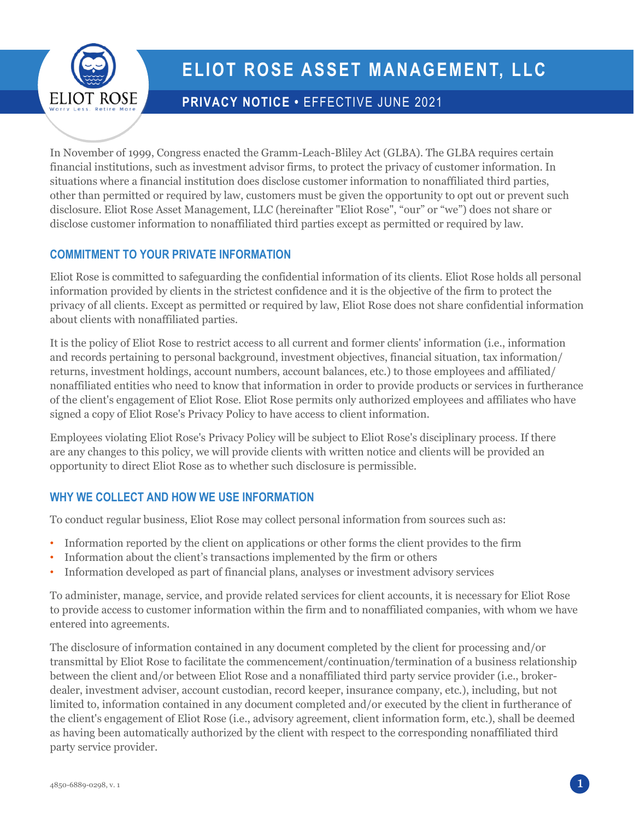

# **ELIOT ROSE ASSET MANAGEMENT, LLC**

## **PRIVACY NOTICE •** EFFECTIVE JUNE 2021

In November of 1999, Congress enacted the Gramm-Leach-Bliley Act (GLBA). The GLBA requires certain financial institutions, such as investment advisor firms, to protect the privacy of customer information. In situations where a financial institution does disclose customer information to nonaffiliated third parties, other than permitted or required by law, customers must be given the opportunity to opt out or prevent such disclosure. Eliot Rose Asset Management, LLC (hereinafter "Eliot Rose", "our" or "we") does not share or disclose customer information to nonaffiliated third parties except as permitted or required by law.

## **COMMITMENT TO YOUR PRIVATE INFORMATION**

Eliot Rose is committed to safeguarding the confidential information of its clients. Eliot Rose holds all personal information provided by clients in the strictest confidence and it is the objective of the firm to protect the privacy of all clients. Except as permitted or required by law, Eliot Rose does not share confidential information about clients with nonaffiliated parties.

It is the policy of Eliot Rose to restrict access to all current and former clients' information (i.e., information and records pertaining to personal background, investment objectives, financial situation, tax information/ returns, investment holdings, account numbers, account balances, etc.) to those employees and affiliated/ nonaffiliated entities who need to know that information in order to provide products or services in furtherance of the client's engagement of Eliot Rose. Eliot Rose permits only authorized employees and affiliates who have signed a copy of Eliot Rose's Privacy Policy to have access to client information.

Employees violating Eliot Rose's Privacy Policy will be subject to Eliot Rose's disciplinary process. If there are any changes to this policy, we will provide clients with written notice and clients will be provided an opportunity to direct Eliot Rose as to whether such disclosure is permissible.

## **WHY WE COLLECT AND HOW WE USE INFORMATION**

To conduct regular business, Eliot Rose may collect personal information from sources such as:

- Information reported by the client on applications or other forms the client provides to the firm
- Information about the client's transactions implemented by the firm or others
- Information developed as part of financial plans, analyses or investment advisory services

To administer, manage, service, and provide related services for client accounts, it is necessary for Eliot Rose to provide access to customer information within the firm and to nonaffiliated companies, with whom we have entered into agreements.

The disclosure of information contained in any document completed by the client for processing and/or transmittal by Eliot Rose to facilitate the commencement/continuation/termination of a business relationship between the client and/or between Eliot Rose and a nonaffiliated third party service provider (i.e., brokerdealer, investment adviser, account custodian, record keeper, insurance company, etc.), including, but not limited to, information contained in any document completed and/or executed by the client in furtherance of the client's engagement of Eliot Rose (i.e., advisory agreement, client information form, etc.), shall be deemed as having been automatically authorized by the client with respect to the corresponding nonaffiliated third party service provider.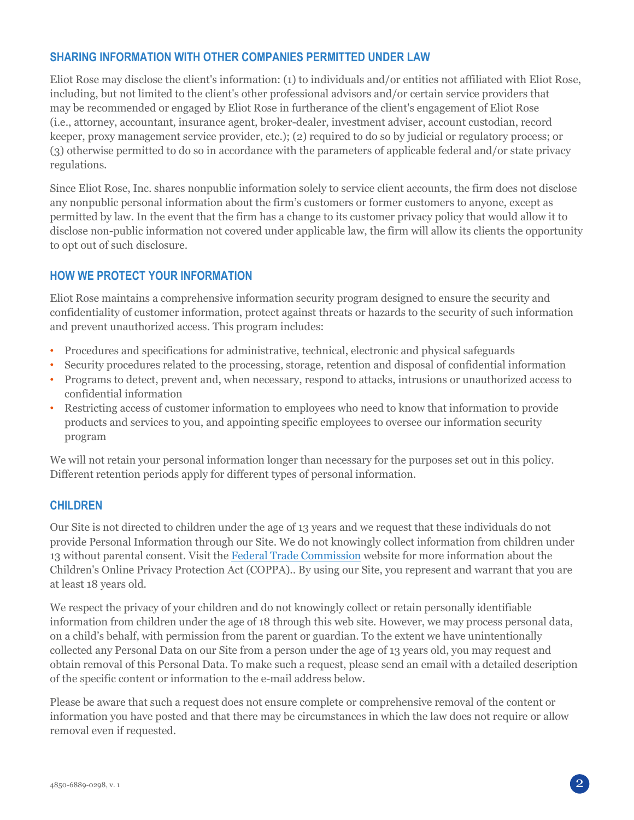#### **SHARING INFORMATION WITH OTHER COMPANIES PERMITTED UNDER LAW**

Eliot Rose may disclose the client's information: (1) to individuals and/or entities not affiliated with Eliot Rose, including, but not limited to the client's other professional advisors and/or certain service providers that may be recommended or engaged by Eliot Rose in furtherance of the client's engagement of Eliot Rose (i.e., attorney, accountant, insurance agent, broker-dealer, investment adviser, account custodian, record keeper, proxy management service provider, etc.); (2) required to do so by judicial or regulatory process; or (3) otherwise permitted to do so in accordance with the parameters of applicable federal and/or state privacy regulations.

Since Eliot Rose, Inc. shares nonpublic information solely to service client accounts, the firm does not disclose any nonpublic personal information about the firm's customers or former customers to anyone, except as permitted by law. In the event that the firm has a change to its customer privacy policy that would allow it to disclose non-public information not covered under applicable law, the firm will allow its clients the opportunity to opt out of such disclosure.

#### **HOW WE PROTECT YOUR INFORMATION**

Eliot Rose maintains a comprehensive information security program designed to ensure the security and confidentiality of customer information, protect against threats or hazards to the security of such information and prevent unauthorized access. This program includes:

- Procedures and specifications for administrative, technical, electronic and physical safeguards
- Security procedures related to the processing, storage, retention and disposal of confidential information
- Programs to detect, prevent and, when necessary, respond to attacks, intrusions or unauthorized access to confidential information
- Restricting access of customer information to employees who need to know that information to provide products and services to you, and appointing specific employees to oversee our information security program

We will not retain your personal information longer than necessary for the purposes set out in this policy. Different retention periods apply for different types of personal information.

#### **CHILDREN**

Our Site is not directed to children under the age of 13 years and we request that these individuals do not provide Personal Information through our Site. We do not knowingly collect information from children under 13 without parental consent. Visit the [Federal Trade Commission](https://www.ftc.gov/tips-advice/business-center/privacy-and-security/children%27s-privacy) website for more information about the Children's Online Privacy Protection Act (COPPA).. By using our Site, you represent and warrant that you are at least 18 years old.

We respect the privacy of your children and do not knowingly collect or retain personally identifiable information from children under the age of 18 through this web site. However, we may process personal data, on a child's behalf, with permission from the parent or guardian. To the extent we have unintentionally collected any Personal Data on our Site from a person under the age of 13 years old, you may request and obtain removal of this Personal Data. To make such a request, please send an email with a detailed description of the specific content or information to the e-mail address below.

Please be aware that such a request does not ensure complete or comprehensive removal of the content or information you have posted and that there may be circumstances in which the law does not require or allow removal even if requested.